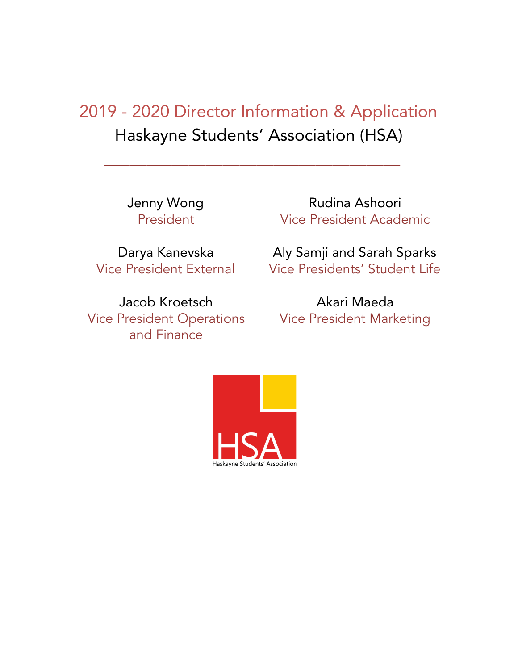# 2019 - 2020 Director Information & Application Haskayne Students' Association (HSA)

\_\_\_\_\_\_\_\_\_\_\_\_\_\_\_\_\_\_\_\_\_\_\_\_\_\_\_\_\_\_\_\_\_\_\_

Jenny Wong President

Darya Kanevska Vice President External

Jacob Kroetsch Vice President Operations and Finance

Rudina Ashoori Vice President Academic

Aly Samji and Sarah Sparks Vice Presidents' Student Life

Akari Maeda Vice President Marketing

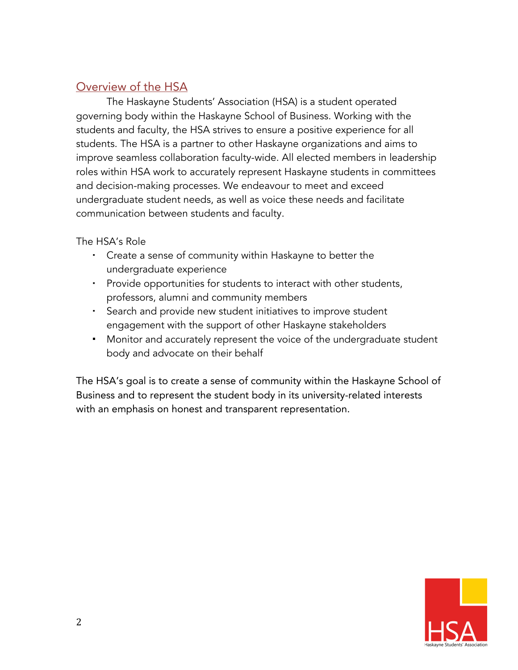### Overview of the HSA

The Haskayne Students' Association (HSA) is a student operated governing body within the Haskayne School of Business. Working with the students and faculty, the HSA strives to ensure a positive experience for all students. The HSA is a partner to other Haskayne organizations and aims to improve seamless collaboration faculty-wide. All elected members in leadership roles within HSA work to accurately represent Haskayne students in committees and decision-making processes. We endeavour to meet and exceed undergraduate student needs, as well as voice these needs and facilitate communication between students and faculty.

The HSA's Role

- Create a sense of community within Haskayne to better the undergraduate experience
- Provide opportunities for students to interact with other students, professors, alumni and community members
- Search and provide new student initiatives to improve student engagement with the support of other Haskayne stakeholders
- **Monitor and accurately represent the voice of the undergraduate student** body and advocate on their behalf

The HSA's goal is to create a sense of community within the Haskayne School of Business and to represent the student body in its university-related interests with an emphasis on honest and transparent representation.

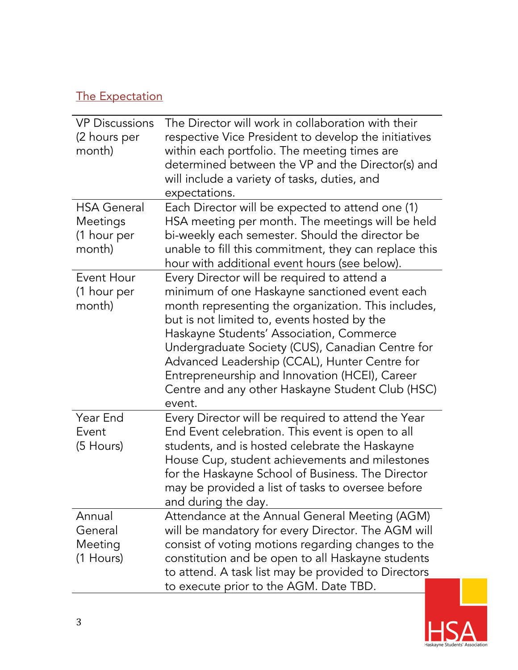# The Expectation

| <b>VP Discussions</b><br>(2 hours per<br>month)         | The Director will work in collaboration with their<br>respective Vice President to develop the initiatives<br>within each portfolio. The meeting times are<br>determined between the VP and the Director(s) and<br>will include a variety of tasks, duties, and<br>expectations.                                                                                                                                                                                    |
|---------------------------------------------------------|---------------------------------------------------------------------------------------------------------------------------------------------------------------------------------------------------------------------------------------------------------------------------------------------------------------------------------------------------------------------------------------------------------------------------------------------------------------------|
| <b>HSA General</b><br>Meetings<br>(1 hour per<br>month) | Each Director will be expected to attend one (1)<br>HSA meeting per month. The meetings will be held<br>bi-weekly each semester. Should the director be<br>unable to fill this commitment, they can replace this<br>hour with additional event hours (see below).                                                                                                                                                                                                   |
| Event Hour<br>(1 hour per<br>month)                     | Every Director will be required to attend a<br>minimum of one Haskayne sanctioned event each<br>month representing the organization. This includes,<br>but is not limited to, events hosted by the<br>Haskayne Students' Association, Commerce<br>Undergraduate Society (CUS), Canadian Centre for<br>Advanced Leadership (CCAL), Hunter Centre for<br>Entrepreneurship and Innovation (HCEI), Career<br>Centre and any other Haskayne Student Club (HSC)<br>event. |
| Year End<br>Event<br>(5 Hours)                          | Every Director will be required to attend the Year<br>End Event celebration. This event is open to all<br>students, and is hosted celebrate the Haskayne<br>House Cup, student achievements and milestones<br>for the Haskayne School of Business. The Director<br>may be provided a list of tasks to oversee before<br>and during the day.                                                                                                                         |
| Annual<br>General<br>Meeting<br>(1 Hours)               | Attendance at the Annual General Meeting (AGM)<br>will be mandatory for every Director. The AGM will<br>consist of voting motions regarding changes to the<br>constitution and be open to all Haskayne students<br>to attend. A task list may be provided to Directors<br>to execute prior to the AGM. Date TBD.                                                                                                                                                    |

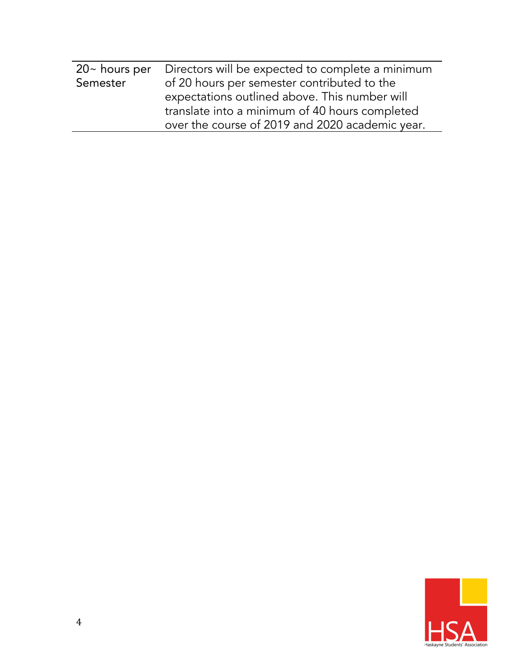| $20~$ hours per | Directors will be expected to complete a minimum |  |
|-----------------|--------------------------------------------------|--|
| Semester        | of 20 hours per semester contributed to the      |  |
|                 | expectations outlined above. This number will    |  |
|                 | translate into a minimum of 40 hours completed   |  |
|                 | over the course of 2019 and 2020 academic year.  |  |
|                 |                                                  |  |

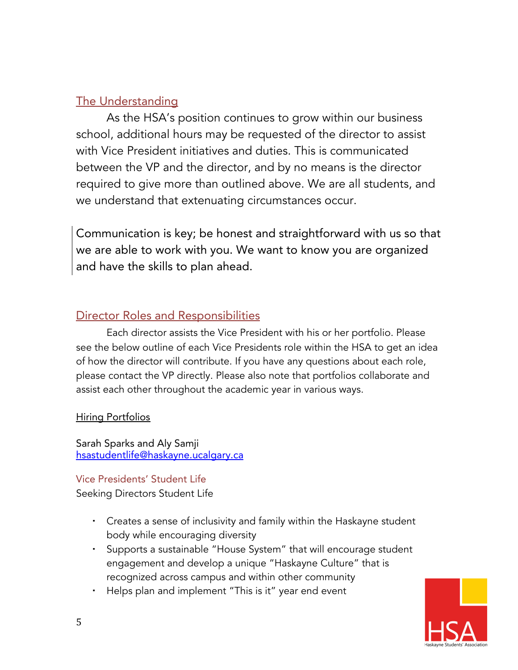### The Understanding

As the HSA's position continues to grow within our business school, additional hours may be requested of the director to assist with Vice President initiatives and duties. This is communicated between the VP and the director, and by no means is the director required to give more than outlined above. We are all students, and we understand that extenuating circumstances occur.

Communication is key; be honest and straightforward with us so that we are able to work with you. We want to know you are organized and have the skills to plan ahead.

#### Director Roles and Responsibilities

Each director assists the Vice President with his or her portfolio. Please see the below outline of each Vice Presidents role within the HSA to get an idea of how the director will contribute. If you have any questions about each role, please contact the VP directly. Please also note that portfolios collaborate and assist each other throughout the academic year in various ways.

#### Hiring Portfolios

Sarah Sparks and Aly Samji [hsastudentlife@haskayne.ucalgary.ca](mailto:hsastudentlife@haskayne.ucalgary.ca)

Vice Presidents' Student Life Seeking Directors Student Life

- Creates a sense of inclusivity and family within the Haskayne student body while encouraging diversity
- Supports a sustainable "House System" that will encourage student engagement and develop a unique "Haskayne Culture" that is recognized across campus and within other community
- Helps plan and implement "This is it" year end event

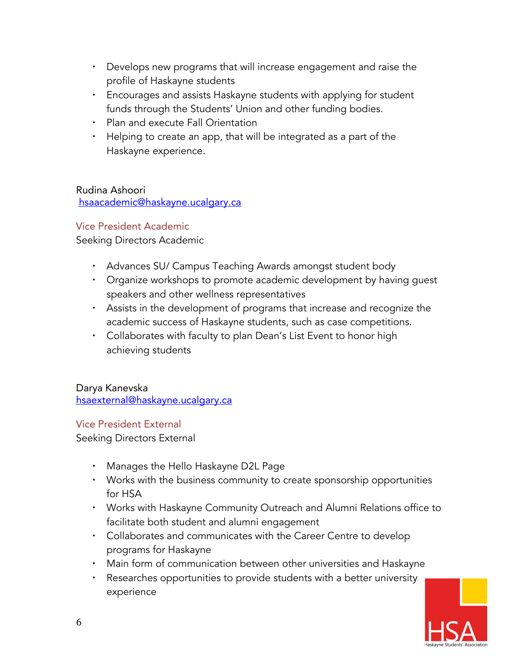- Develops new programs that will increase engagement and raise the profile of Haskayne students
- Encourages and assists Haskayne students with applying for student funds through the Students' Union and other funding bodies.
- **Plan and execute Fall Orientation**
- Helping to create an app, that will be integrated as a part of the Haskayne experience.

Rudina Ashoori [hsaacademic@haskayne.ucalgary.ca](mailto:hsaacademic@haskayne.ucalgary.ca)

#### Vice President Academic

Seeking Directors Academic

- Advances SU/ Campus Teaching Awards amongst student body
- Organize workshops to promote academic development by having guest speakers and other wellness representatives
- Assists in the development of programs that increase and recognize the academic success of Haskayne students, such as case competitions.
- Collaborates with faculty to plan Dean's List Event to honor high achieving students

Darya Kanevska [hsaexternal@haskayne.ucalgary.ca](mailto:hsaexternal@haskayne.ucalgary.ca)

#### Vice President External

Seeking Directors External

- Manages the Hello Haskayne D2L Page
- Works with the business community to create sponsorship opportunities for HSA
- Works with Haskayne Community Outreach and Alumni Relations office to facilitate both student and alumni engagement
- Collaborates and communicates with the Career Centre to develop programs for Haskayne
- Main form of communication between other universities and Haskayne
- Researches opportunities to provide students with a better university experience

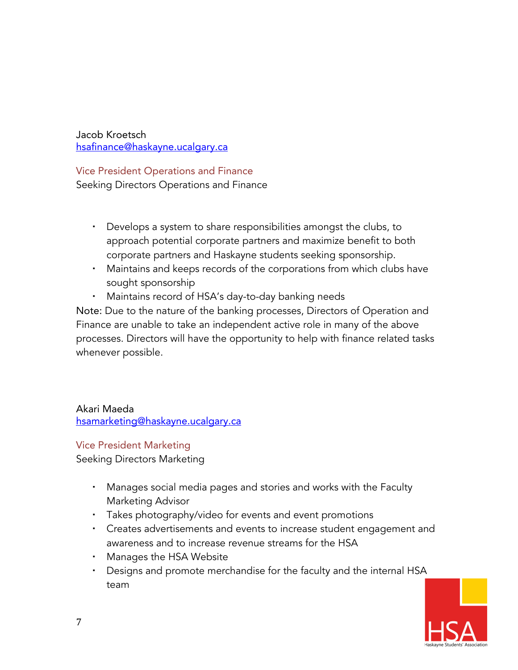Jacob Kroetsch [hsafinance@haskayne.ucalgary.ca](mailto:hsafinance@haskayne.ucalgary.ca)

Vice President Operations and Finance

Seeking Directors Operations and Finance

- Develops a system to share responsibilities amongst the clubs, to approach potential corporate partners and maximize benefit to both corporate partners and Haskayne students seeking sponsorship.
- Maintains and keeps records of the corporations from which clubs have sought sponsorship
- Maintains record of HSA's day-to-day banking needs

Note: Due to the nature of the banking processes, Directors of Operation and Finance are unable to take an independent active role in many of the above processes. Directors will have the opportunity to help with finance related tasks whenever possible.

Akari Maeda [hsamarketing@haskayne.ucalgary.ca](mailto:hsamarketing@haskayne.ucalgary.ca)

#### Vice President Marketing

Seeking Directors Marketing

- Manages social media pages and stories and works with the Faculty Marketing Advisor
- Takes photography/video for events and event promotions
- Creates advertisements and events to increase student engagement and awareness and to increase revenue streams for the HSA
- Manages the HSA Website
- Designs and promote merchandise for the faculty and the internal HSA team